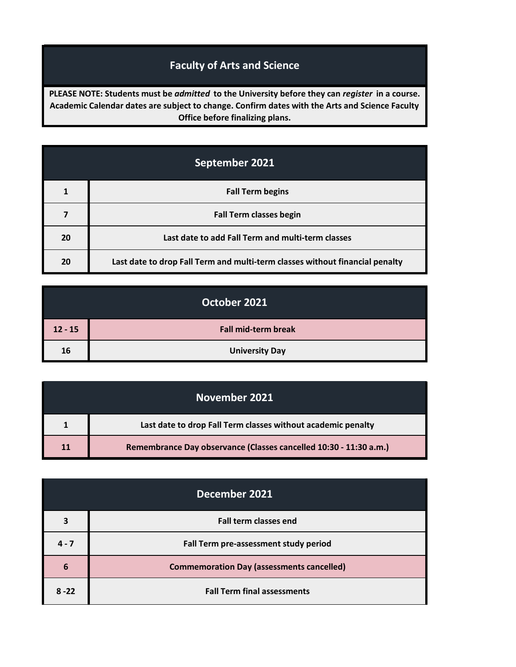## **Faculty of Arts and Science**

**PLEASE NOTE: Students must be** *admitted* **to the University before they can** *register* **in a course. Academic Calendar dates are subject to change. Confirm dates with the Arts and Science Faculty Office before finalizing plans.**

| September 2021 |                                                                              |
|----------------|------------------------------------------------------------------------------|
| 1              | <b>Fall Term begins</b>                                                      |
|                | <b>Fall Term classes begin</b>                                               |
| 20             | Last date to add Fall Term and multi-term classes                            |
| 20             | Last date to drop Fall Term and multi-term classes without financial penalty |

| October 2021 |                            |
|--------------|----------------------------|
| $12 - 15$    | <b>Fall mid-term break</b> |
| 16           | <b>University Day</b>      |

| November 2021 |                                                                   |
|---------------|-------------------------------------------------------------------|
|               | Last date to drop Fall Term classes without academic penalty      |
| 11            | Remembrance Day observance (Classes cancelled 10:30 - 11:30 a.m.) |

| December 2021 |                                                  |
|---------------|--------------------------------------------------|
| 3             | <b>Fall term classes end</b>                     |
| $4 - 7$       | Fall Term pre-assessment study period            |
| 6             | <b>Commemoration Day (assessments cancelled)</b> |
| $8 - 22$      | <b>Fall Term final assessments</b>               |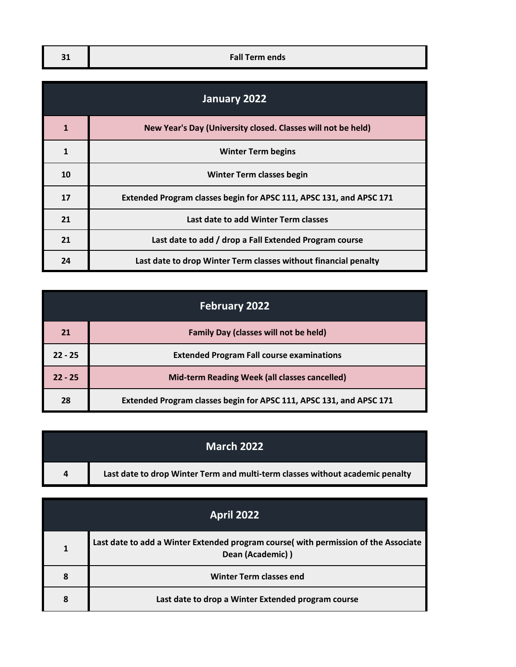| - 1<br>ر ب | <b>Fall Term ends</b> |
|------------|-----------------------|

| January 2022 |                                                                     |
|--------------|---------------------------------------------------------------------|
| 1            | New Year's Day (University closed. Classes will not be held)        |
| 1            | <b>Winter Term begins</b>                                           |
| 10           | <b>Winter Term classes begin</b>                                    |
| 17           | Extended Program classes begin for APSC 111, APSC 131, and APSC 171 |
| 21           | Last date to add Winter Term classes                                |
| 21           | Last date to add / drop a Fall Extended Program course              |
| 24           | Last date to drop Winter Term classes without financial penalty     |

| <b>February 2022</b> |                                                                     |
|----------------------|---------------------------------------------------------------------|
| 21                   | <b>Family Day (classes will not be held)</b>                        |
| $22 - 25$            | <b>Extended Program Fall course examinations</b>                    |
| $22 - 25$            | <b>Mid-term Reading Week (all classes cancelled)</b>                |
| 28                   | Extended Program classes begin for APSC 111, APSC 131, and APSC 171 |

| March 2022 |                                                                               |
|------------|-------------------------------------------------------------------------------|
| 4          | Last date to drop Winter Term and multi-term classes without academic penalty |

| <b>April 2022</b> |                                                                                                         |
|-------------------|---------------------------------------------------------------------------------------------------------|
|                   | Last date to add a Winter Extended program course(with permission of the Associate<br>Dean (Academic) ) |
| 8                 | <b>Winter Term classes end</b>                                                                          |
| 8                 | Last date to drop a Winter Extended program course                                                      |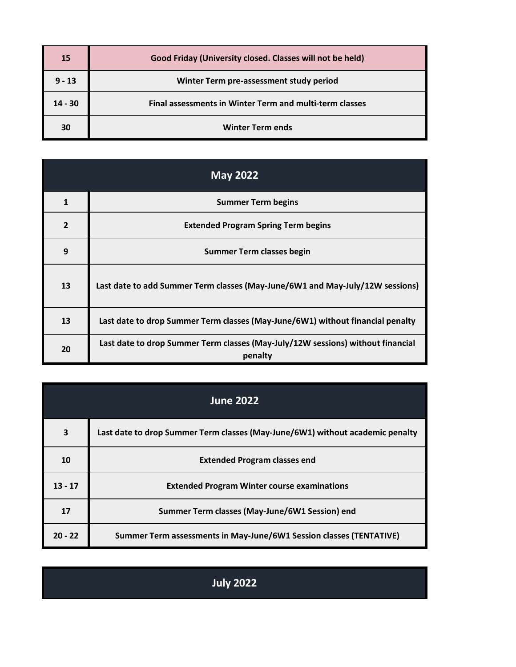| 15        | Good Friday (University closed. Classes will not be held)      |
|-----------|----------------------------------------------------------------|
| $9 - 13$  | Winter Term pre-assessment study period                        |
| $14 - 30$ | <b>Final assessments in Winter Term and multi-term classes</b> |
| 30        | <b>Winter Term ends</b>                                        |

| <b>May 2022</b> |                                                                                            |
|-----------------|--------------------------------------------------------------------------------------------|
| $\mathbf{1}$    | <b>Summer Term begins</b>                                                                  |
| $\overline{2}$  | <b>Extended Program Spring Term begins</b>                                                 |
| 9               | <b>Summer Term classes begin</b>                                                           |
| 13              | Last date to add Summer Term classes (May-June/6W1 and May-July/12W sessions)              |
| 13              | Last date to drop Summer Term classes (May-June/6W1) without financial penalty             |
| 20              | Last date to drop Summer Term classes (May-July/12W sessions) without financial<br>penalty |

| <b>June 2022</b> |                                                                               |
|------------------|-------------------------------------------------------------------------------|
| 3                | Last date to drop Summer Term classes (May-June/6W1) without academic penalty |
| 10               | <b>Extended Program classes end</b>                                           |
| $13 - 17$        | <b>Extended Program Winter course examinations</b>                            |
| 17               | Summer Term classes (May-June/6W1 Session) end                                |
| $20 - 22$        | Summer Term assessments in May-June/6W1 Session classes (TENTATIVE)           |

**July 2022**